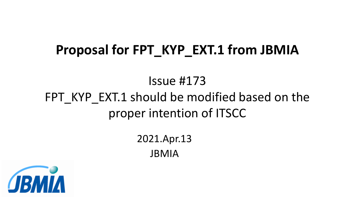# **Proposal for FPT\_KYP\_EXT.1 from JBMIA**

# Issue #173 FPT KYP EXT.1 should be modified based on the proper intention of ITSCC

2021.Apr.13 JBMIA

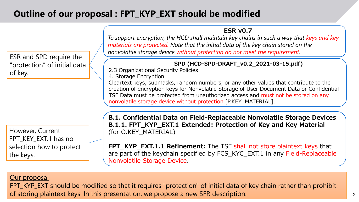# **Outline of our proposal : FPT\_KYP\_EXT should be modified**

**ESR v0.7**

*To support encryption, the HCD shall maintain key chains in such a way that keys and key materials are protected. Note that the initial data of the key chain stored on the nonvolatile storage device without protection do not meet the requirement.*

#### **SPD (HCD-SPD-DRAFT\_v0.2\_2021-03-15.pdf)**

2.3 Organizational Security Policies

4. Storage Encryption

Cleartext keys, submasks, random numbers, or any other values that contribute to the creation of encryption keys for Nonvolatile Storage of User Document Data or Confidential TSF Data must be protected from unauthorized access and must not be stored on any nonvolatile storage device without protection [P.KEY\_MATERIAL].

However, Current FPT\_KEY\_EXT.1 has no selection how to protect the keys.

ESR and SPD require the

of key.

"protection" of initial data

**B.1. Confidential Data on Field-Replaceable Nonvolatile Storage Devices B.1.1. FPT\_KYP\_EXT.1 Extended: Protection of Key and Key Material** (for O.KEY\_MATERIAL)

**FPT\_KYP\_EXT.1.1 Refinement:** The TSF shall not store plaintext keys that are part of the keychain specified by FCS\_KYC\_EXT.1 in any Field-Replaceable Nonvolatile Storage Device.

#### Our proposal

FPT\_KYP\_EXT should be modified so that it requires "protection" of initial data of key chain rather than prohibit of storing plaintext keys. In this presentation, we propose a new SFR description.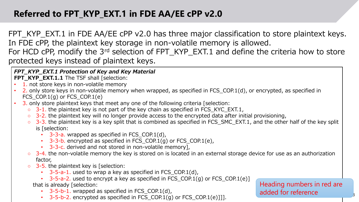# **Referred to FPT\_KYP\_EXT.1 in FDE AA/EE cPP v2.0**

FPT\_KYP\_EXT.1 in FDE AA/EE cPP v2.0 has three major classification to store plaintext keys. In FDE cPP, the plaintext key storage in non-volatile memory is allowed. For HCD cPP, modify the 3<sup>rd</sup> selection of FPT\_KYP\_EXT.1 and define the criteria how to store

protected keys instead of plaintext keys.

### *FPT\_KYP\_EXT.1 Protection of Key and Key Material*

**FPT\_KYP\_EXT.1.1** The TSF shall [selection:

- 1. not store keys in non-volatile memory
- 2. only store keys in non-volatile memory when wrapped, as specified in FCS\_COP.1(d), or encrypted, as specified in FCS\_COP.1 $(g)$  or FCS\_COP.1 $(e)$
- 3. only store plaintext keys that meet any one of the following criteria [selection:
	- $\circ$  3-1. the plaintext key is not part of the key chain as specified in FCS\_KYC\_EXT.1,
	- 3-2. the plaintext key will no longer provide access to the encrypted data after initial provisioning,
	- 3-3. the plaintext key is a key split that is combined as specified in FCS\_SMC\_EXT.1, and the other half of the key split is [selection:
		- $\cdot$  3-3-a. wrapped as specified in FCS\_COP.1(d),
		- 3-3-b. encrypted as specified in FCS\_COP.1 $(q)$  or FCS\_COP.1 $(e)$ ,
		- 3-3-c. derived and not stored in non-volatile memory],
	- 3-4. the non-volatile memory the key is stored on is located in an external storage device for use as an authorization factor,
	- 3-5. the plaintext key is [selection:
		- $\cdot$  3-5-a-1. used to wrap a key as specified in FCS\_COP.1(d),
		- 3-5-a-2. used to encrypt a key as specified in FCS COP.1(g) or FCS COP.1(e)] that is already [selection:
			- $\cdot$  3-5-b-1. wrapped as specified in FCS COP.1(d),
			- $-3-5-b-2$ . encrypted as specified in FCS\_COP.1(g) or FCS\_COP.1(e)]]].

Heading numbers in red are added for reference

3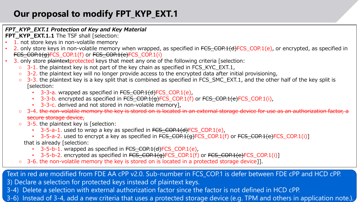# **Our proposal to modify FPT\_KYP\_EXT.1**

#### *FPT\_KYP\_EXT.1 Protection of Key and Key Material*

- **FPT\_KYP\_EXT.1.1** The TSF shall [selection:
- 1. not store keys in non-volatile memory
- 2. only store keys in non-volatile memory when wrapped, as specified in  $FCS$  COP.1(d)FCS COP.1(e), or encrypted, as specified in FCS COP.1(g)FCS COP.1(f) or FCS COP.1(e)FCS COP.1(i)
- 3. only store plaintext protected keys that meet any one of the following criteria [selection:
	- $\circ$  3-1. the plaintext key is not part of the key chain as specified in FCS\_KYC\_EXT.1,
	- $\circ$  3-2. the plaintext key will no longer provide access to the encrypted data after initial provisioning,
	- $\circ$  3-3. the plaintext key is a key split that is combined as specified in FCS SMC EXT.1, and the other half of the key split is [selection:
		- 3-3-a. wrapped as specified in FCS COP.1(d)FCS COP.1(e),
		- 3-3-b. encrypted as specified in FCS\_COP.1(g)FCS\_COP.1(f) or FCS\_COP.1(e)FCS\_COP.1(i),
		- 3-3-c. derived and not stored in non-volatile memory],
	- o 3-4. the non-volatile memory the key is stored on is located in an external storage device for use as an authorization factor, a secure storage device,
	- $\circ$  3-5. the plaintext key is [selection:
		- $\cdot$  3-5-a-1. used to wrap a key as specified in  $FCS\_COP.1(d)FCS\_COP.1(e)$ ,
		- 3-5-a-2. used to encrypt a key as specified in FCS\_COP.1(g)FCS\_COP.1(f) or FCS\_COP.1(e)FCS\_COP.1(i)] that is already [selection:
			- $\cdot$  3-5-b-1. wrapped as specified in  $FCS_COP.1(d)FCS_COP.1(e)$ ,
			- 3-5-b-2. encrypted as specified in  $FCS$  COP.1(g)FCS COP.1(f) or FCS COP.1(e)FCS COP.1(i)]
	- 3-6. the non-volatile memory the key is stored on is located in a protected storage device]].

Text in red are modified from FDE AA cPP v2.0. Sub-number in FCS\_COP.1 is defer between FDE cPP and HCD cPP. 3) Declare a selection for protected keys instead of plaintext keys.

- 3-4) Delete a selection with external authorization factor since the factor is not defined in HCD cPP.
- 4 3-6) Instead of 3-4, add a new criteria that uses a protected storage device (e.g. TPM and others in application note.).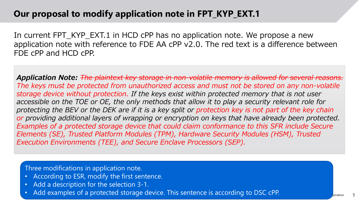### **Our proposal to modify application note in FPT\_KYP\_EXT.1**

In current FPT\_KYP\_EXT.1 in HCD cPP has no application note. We propose a new application note with reference to FDE AA cPP v2.0. The red text is a difference between FDE cPP and HCD cPP.

*Application Note: The plaintext key storage in non-volatile memory is allowed for several reasons. The keys must be protected from unauthorized access and must not be stored on any non-volatile storage device without protection. If the keys exist within protected memory that is not user accessible on the TOE or OE, the only methods that allow it to play a security relevant role for protecting the BEV or the DEK are if it is a key split or protection key is not part of the key chain or providing additional layers of wrapping or encryption on keys that have already been protected. Examples of a protected storage device that could claim conformance to this SFR include Secure Elements (SE), Trusted Platform Modules (TPM), Hardware Security Modules (HSM), Trusted Execution Environments (TEE), and Secure Enclave Processors (SEP).*

Three modifications in application note.

- According to ESR, modify the first sentence.
- Add a description for the selection 3-1.
- Add examples of a protected storage device. This sentence is according to DSC cPP.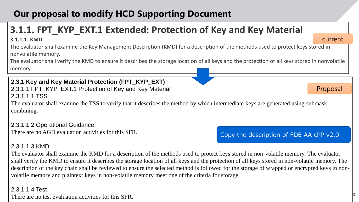# **Our proposal to modify HCD Supporting Document**

# **3.1.1. FPT\_KYP\_EXT.1 Extended: Protection of Key and Key Material**

#### **3.1.1.1. KMD**

The evaluator shall examine the Key Management Description (KMD) for a description of the methods used to protect keys stored in nonvolatile memory.

The evaluator shall verify the KMD to ensure it describes the storage location of all keys and the protection of all keys stored in nonvolatile memory.

#### **2.3.1 Key and Key Material Protection (FPT\_KYP\_EXT)**  2.3.1.1 FPT\_KYP\_EXT.1 Protection of Key and Key Material 2.3.1.1.1 TSS

The evaluator shall examine the TSS to verify that it describes the method by which intermediate keys are generated using submask combining.

2.3.1.1.2 Operational Guidance There are no AGD evaluation activities for this SFR.

### 2.3.1.1.3 KMD

The evaluator shall examine the KMD for a description of the methods used to protect keys stored in non-volatile memory. The evaluator shall verify the KMD to ensure it describes the storage location of all keys and the protection of all keys stored in non-volatile memory. The description of the key chain shall be reviewed to ensure the selected method is followed for the storage of wrapped or encrypted keys in nonvolatile memory and plaintext keys in non-volatile memory meet one of the criteria for storage.

#### 2.3.1.1.4 Test

There are no test evaluation activities for this SFR.

### Copy the description of FDE AA cPP v2.0.

Proposal

current